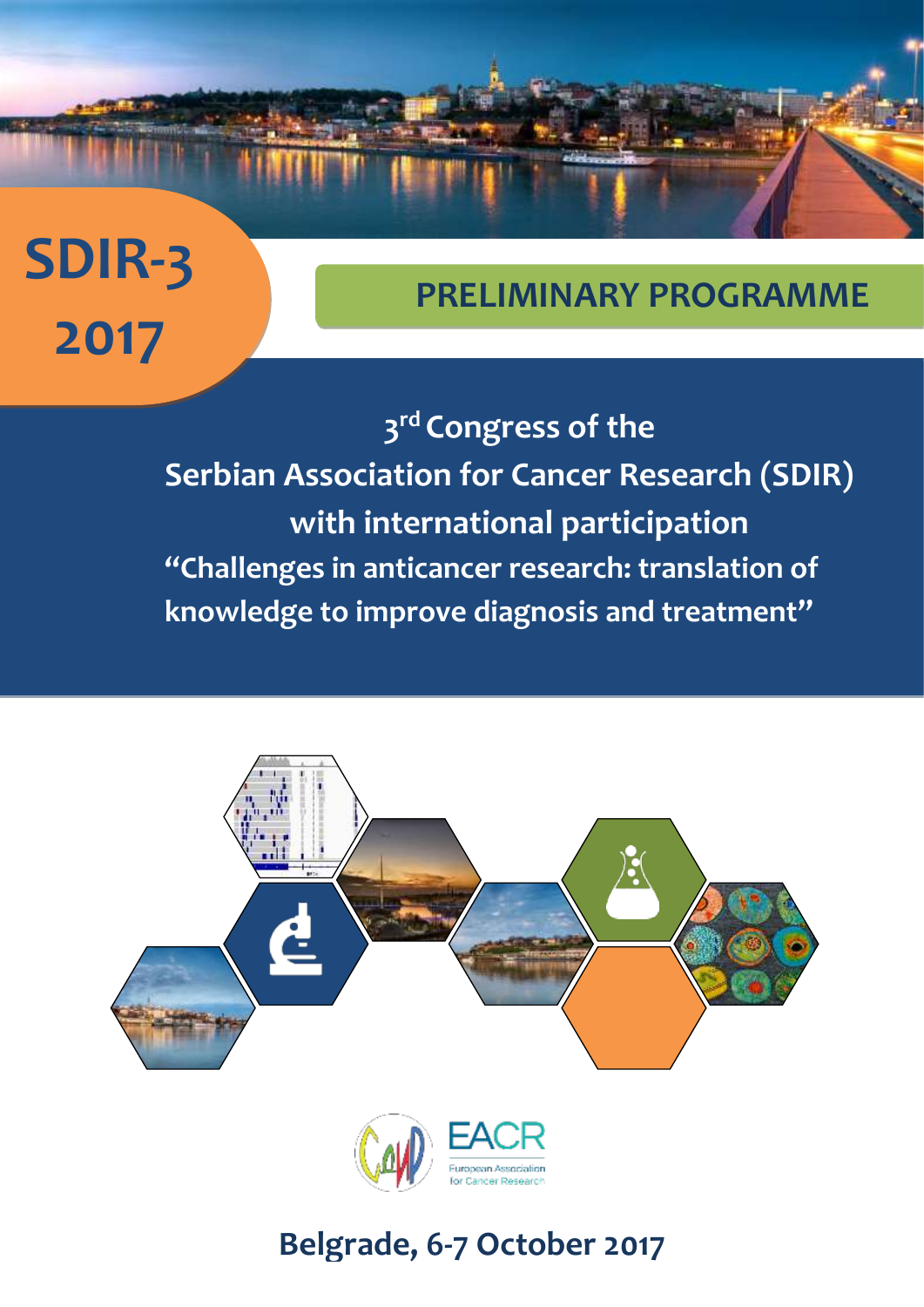## **SDIR-3 2017**

## **PRELIMINARY PROGRAMME**

**3 rd Congress of the Serbian Association for Cancer Research (SDIR) with international participation "Challenges in anticancer research: translation of knowledge to improve diagnosis and treatment"**





## **Belgrade, 6-7 October 2017**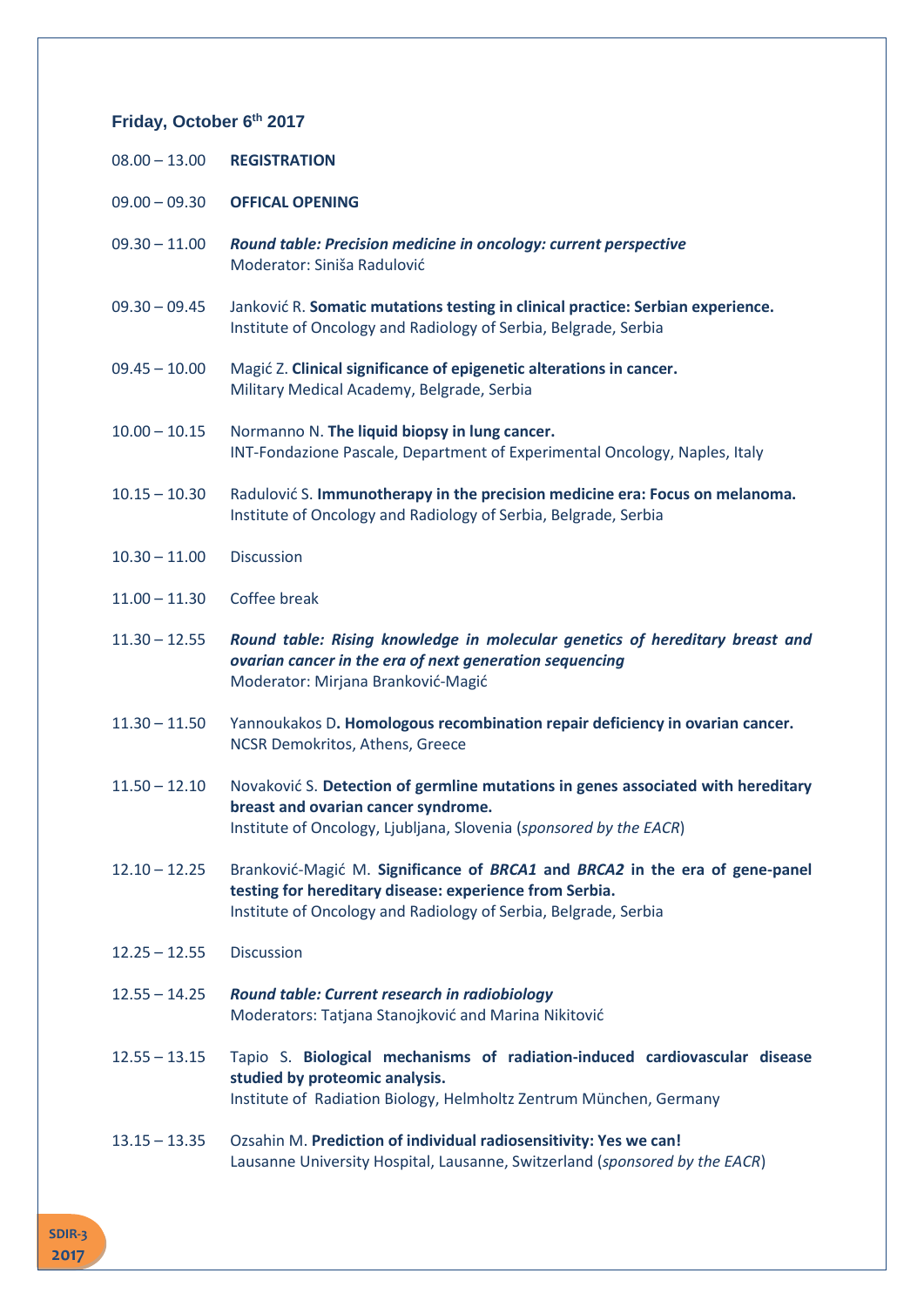## **Friday, October 6 th 2017**

- 09.00 09.30 **OFFICAL OPENING**
- 09.30 11.00 *Round table: Precision medicine in oncology: current perspective* Moderator: Siniša Radulović
- 09.30 09.45 Janković R. **Somatic mutations testing in clinical practice: Serbian experience.** Institute of Oncology and Radiology of Serbia, Belgrade, Serbia
- 09.45 10.00 Magić Z. **Clinical significance of epigenetic alterations in cancer.** Military Medical Academy, Belgrade, Serbia
- 10.00 10.15 Normanno N. **The liquid biopsy in lung cancer.** INT-Fondazione Pascale, Department of Experimental Oncology, Naples, Italy
- 10.15 10.30 Radulović S. **Immunotherapy in the precision medicine era: Focus on melanoma.** Institute of Oncology and Radiology of Serbia, Belgrade, Serbia
- 10.30 11.00 Discussion
- 11.00 11.30 Coffee break
- 11.30 12.55 *Round table: Rising knowledge in molecular genetics of hereditary breast and ovarian cancer in the era of next generation sequencing* Moderator: Mirjana Branković-Magić
- 11.30 11.50 Yannoukakos D**. Homologous recombination repair deficiency in ovarian cancer.** NCSR Demokritos, Athens, Greece
- 11.50 12.10 Novaković S. **Detection of germline mutations in genes associated with hereditary breast and ovarian cancer syndrome.** Institute of Oncology, Ljubljana, Slovenia (*sponsored by the EACR*)
- 12.10 12.25 Branković-Magić M. **Significance of** *BRCA1* **and** *BRCA2* **in the era of gene-panel testing for hereditary disease: experience from Serbia.** Institute of Oncology and Radiology of Serbia, Belgrade, Serbia
- 12.25 12.55 Discussion
- 12.55 14.25 *Round table: Current research in radiobiology* Moderators: Tatjana Stanojković and Marina Nikitović
- 12.55 13.15 Tapio S. **Biological mechanisms of radiation-induced cardiovascular disease studied by proteomic analysis.** Institute of Radiation Biology, Helmholtz Zentrum München, Germany
- 13.15 13.35 Ozsahin M. **Prediction of individual radiosensitivity: Yes we can!** Lausanne University Hospital, Lausanne, Switzerland (*sponsored by the EACR*)